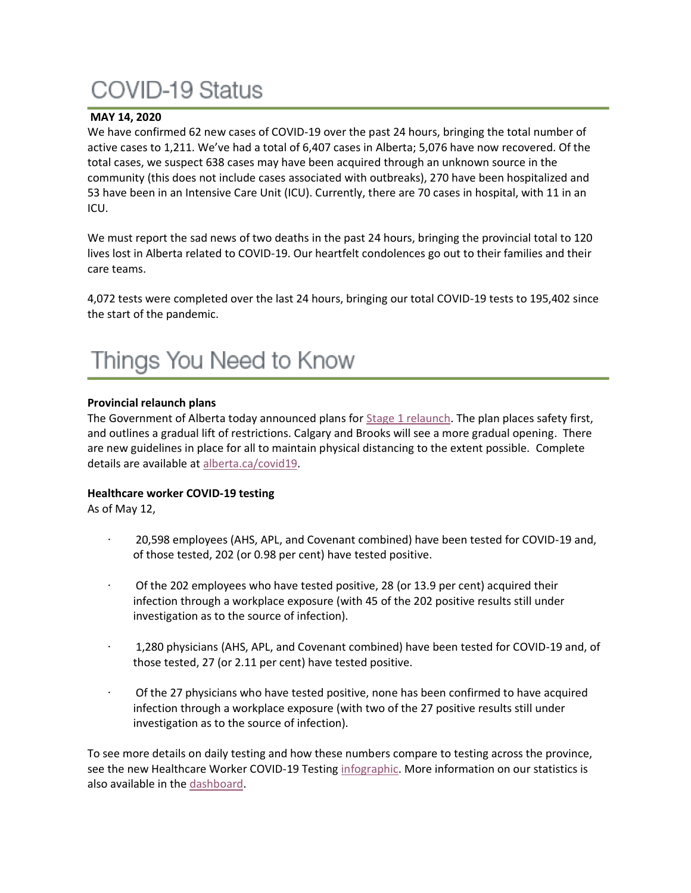# COVID-19 Status

### **MAY 14, 2020**

We have confirmed 62 new cases of COVID-19 over the past 24 hours, bringing the total number of active cases to 1,211. We've had a total of 6,407 cases in Alberta; 5,076 have now recovered. Of the total cases, we suspect 638 cases may have been acquired through an unknown source in the community (this does not include cases associated with outbreaks), 270 have been hospitalized and 53 have been in an Intensive Care Unit (ICU). Currently, there are 70 cases in hospital, with 11 in an ICU.

We must report the sad news of two deaths in the past 24 hours, bringing the provincial total to 120 lives lost in Alberta related to COVID-19. Our heartfelt condolences go out to their families and their care teams.

4,072 tests were completed over the last 24 hours, bringing our total COVID-19 tests to 195,402 since the start of the pandemic.

### **Provincial relaunch plans**

The Government of Alberta today announced plans for [Stage 1 relaunch.](https://www.alberta.ca/release.cfm?xID=71348A0F295D8-DA49-AFDF-A55CD044FEE7F8B8) The plan places safety first, and outlines a gradual lift of restrictions. Calgary and Brooks will see a more gradual opening. There are new guidelines in place for all to maintain physical distancing to the extent possible. Complete details are available at [alberta.ca/covid19.](http://www.alberta.ca/covid19)

#### **Healthcare worker COVID-19 testing**

As of May 12,

- · 20,598 employees (AHS, APL, and Covenant combined) have been tested for COVID-19 and, of those tested, 202 (or 0.98 per cent) have tested positive.
- Of the 202 employees who have tested positive, 28 (or 13.9 per cent) acquired their infection through a workplace exposure (with 45 of the 202 positive results still under investigation as to the source of infection).
- · 1,280 physicians (AHS, APL, and Covenant combined) have been tested for COVID-19 and, of those tested, 27 (or 2.11 per cent) have tested positive.
- Of the 27 physicians who have tested positive, none has been confirmed to have acquired infection through a workplace exposure (with two of the 27 positive results still under investigation as to the source of infection).

To see more details on daily testing and how these numbers compare to testing across the province, see the new Healthcare Worker COVID-19 Testing [infographic.](https://insite.albertahealthservices.ca/main/assets/tls/ep/tls-ep-covid-19-healthcare-worker-testing-infographic.pdf) More information on our statistics is also available in the [dashboard.](https://tableau.albertahealthservices.ca/#/views/AHSEmployeePhysicianCOVID-19TestSurveillanceDashboard/Introduction?:iid=1)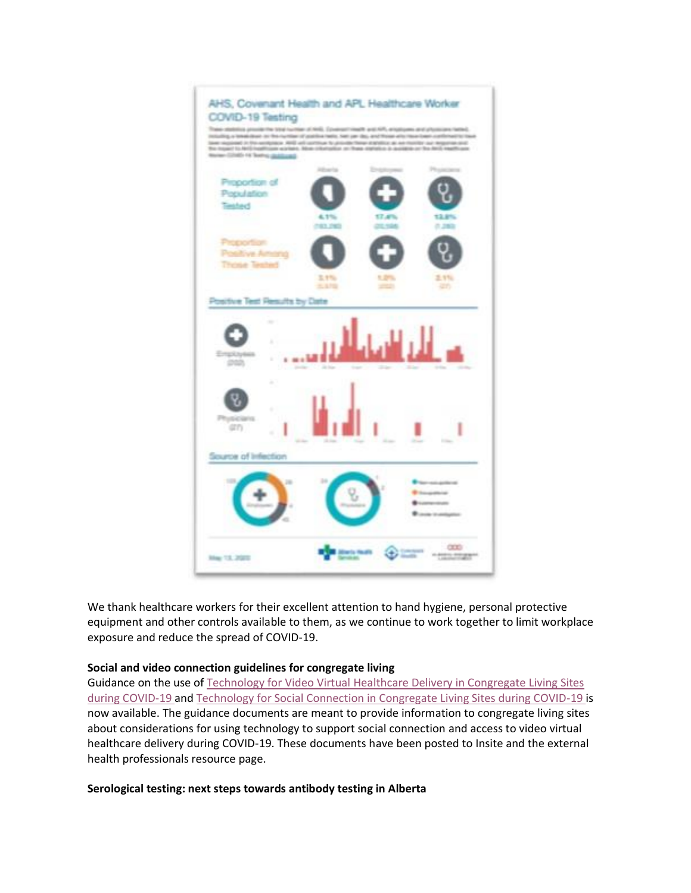

We thank healthcare workers for their excellent attention to hand hygiene, personal protective equipment and other controls available to them, as we continue to work together to limit workplace exposure and reduce the spread of COVID-19.

#### **Social and video connection guidelines for congregate living**

Guidance on the use of [Technology for Video Virtual Healthcare Delivery in Congregate Living Sites](https://www.albertahealthservices.ca/assets/info/ppih/if-ppih-covid-19-tech-virtual-health-congregate.pdf)  [during COVID-19](https://www.albertahealthservices.ca/assets/info/ppih/if-ppih-covid-19-tech-virtual-health-congregate.pdf) and [Technology for Social Connection in Congregate Living Sites during COVID-19](https://www.albertahealthservices.ca/assets/info/ppih/if-ppih-covid-19-tech-social-connection-congregate.pdf) is now available. The guidance documents are meant to provide information to congregate living sites about considerations for using technology to support social connection and access to video virtual healthcare delivery during COVID-19. These documents have been posted to Insite and the external health professionals resource page.

#### **Serological testing: next steps towards antibody testing in Alberta**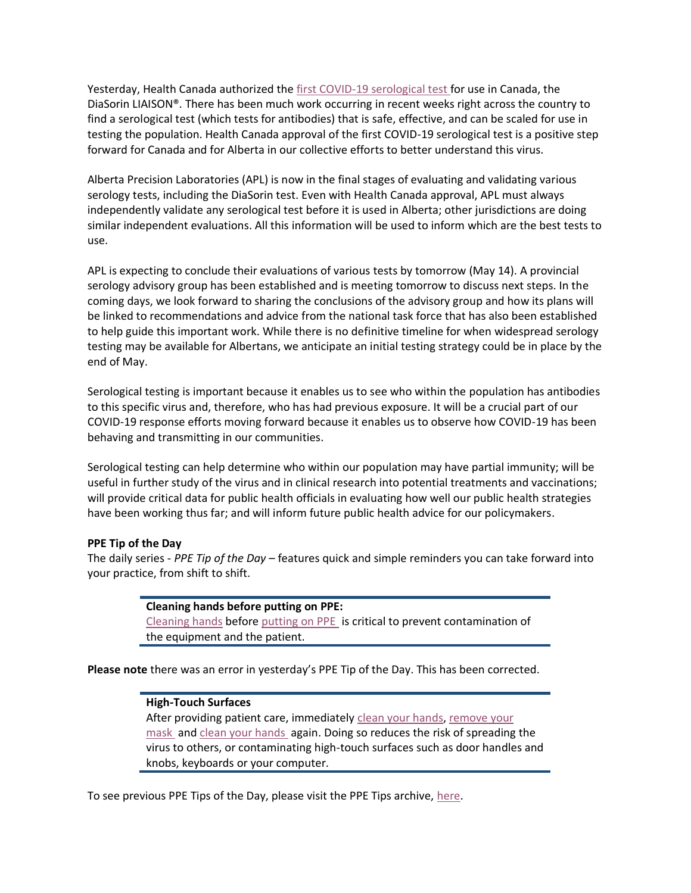Yesterday, Health Canada authorized the [first COVID-19 serological test](https://www.canada.ca/en/health-canada/news/2020/05/statement-from-health-canada-on-covid-19-serological-tests.html) for use in Canada, the DiaSorin LIAISON®. There has been much work occurring in recent weeks right across the country to find a serological test (which tests for antibodies) that is safe, effective, and can be scaled for use in testing the population. Health Canada approval of the first COVID-19 serological test is a positive step forward for Canada and for Alberta in our collective efforts to better understand this virus.

Alberta Precision Laboratories (APL) is now in the final stages of evaluating and validating various serology tests, including the DiaSorin test. Even with Health Canada approval, APL must always independently validate any serological test before it is used in Alberta; other jurisdictions are doing similar independent evaluations. All this information will be used to inform which are the best tests to use.

APL is expecting to conclude their evaluations of various tests by tomorrow (May 14). A provincial serology advisory group has been established and is meeting tomorrow to discuss next steps. In the coming days, we look forward to sharing the conclusions of the advisory group and how its plans will be linked to recommendations and advice from the national task force that has also been established to help guide this important work. While there is no definitive timeline for when widespread serology testing may be available for Albertans, we anticipate an initial testing strategy could be in place by the end of May.

Serological testing is important because it enables us to see who within the population has antibodies to this specific virus and, therefore, who has had previous exposure. It will be a crucial part of our COVID-19 response efforts moving forward because it enables us to observe how COVID-19 has been behaving and transmitting in our communities.

Serological testing can help determine who within our population may have partial immunity; will be useful in further study of the virus and in clinical research into potential treatments and vaccinations; will provide critical data for public health officials in evaluating how well our public health strategies have been working thus far; and will inform future public health advice for our policymakers.

#### **PPE Tip of the Day**

The daily series - *PPE Tip of the Day* – features quick and simple reminders you can take forward into your practice, from shift to shift.

### **Cleaning hands before putting on PPE:** [Cleaning hands](https://www.albertahealthservices.ca/assets/healthinfo/ipc/if-hp-ipc-flu-handwash-how-to.pdf) before [putting on PPE](https://www.albertahealthservices.ca/assets/Infofor/hp/if-hp-ipc-donning-ppe-poster.pdf) is critical to prevent contamination of the equipment and the patient.

**Please note** there was an error in yesterday's PPE Tip of the Day. This has been corrected.

#### **High-Touch Surfaces**

After providing patient care, immediately [clean your hands,](https://www.albertahealthservices.ca/assets/healthinfo/ipc/if-hp-ipc-flu-handwash-how-to.pdf) [remove your](https://www.albertahealthservices.ca/assets/Infofor/hp/if-hp-ipc-doffing-ppe-poster.pdf)  [mask](https://www.albertahealthservices.ca/assets/Infofor/hp/if-hp-ipc-doffing-ppe-poster.pdf) and [clean your hands](https://www.albertahealthservices.ca/assets/healthinfo/ipc/if-hp-ipc-flu-handwash-how-to.pdf) again. Doing so reduces the risk of spreading the virus to others, or contaminating high-touch surfaces such as door handles and knobs, keyboards or your computer.

To see previous PPE Tips of the Day, please visit the PPE Tips archive, [here.](https://www.albertahealthservices.ca/topics/Page17119.aspx)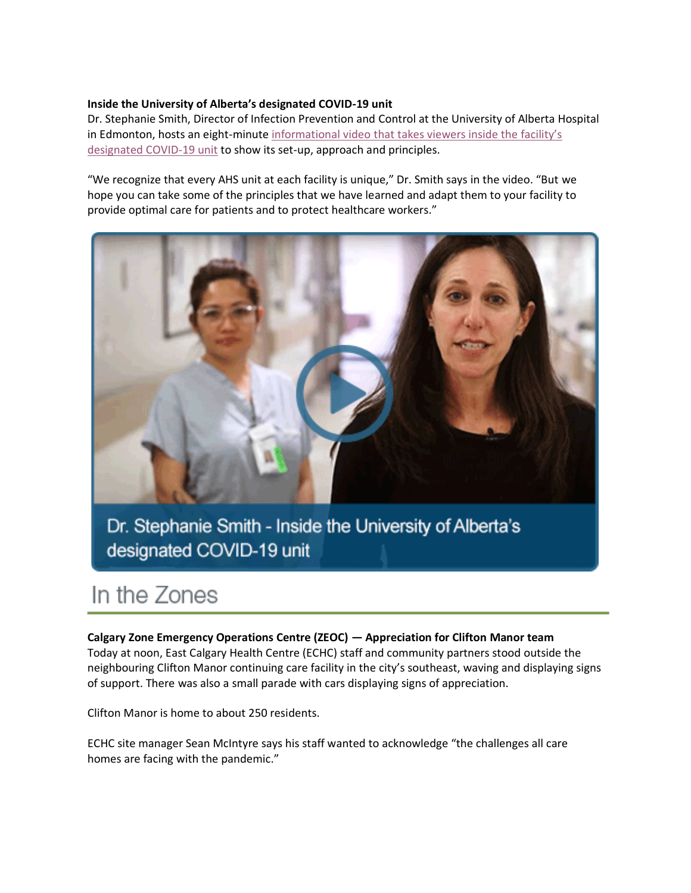#### **Inside the University of Alberta's designated COVID-19 unit**

Dr. Stephanie Smith, Director of Infection Prevention and Control at the University of Alberta Hospital in Edmonton, hosts an eight-minute [informational video that takes viewers inside the](https://www.albertahealthservices.ca/topics/Page17133.aspx) facility's [designated COVID-19 unit](https://www.albertahealthservices.ca/topics/Page17133.aspx) to show its set-up, approach and principles.

"We recognize that every AHS unit at each facility is unique," Dr. Smith says in the video. "But we hope you can take some of the principles that we have learned and adapt them to your facility to provide optimal care for patients and to protect healthcare workers."



Dr. Stephanie Smith - Inside the University of Alberta's designated COVID-19 unit

### In the Zones

#### **Calgary Zone Emergency Operations Centre (ZEOC) — Appreciation for Clifton Manor team**

Today at noon, East Calgary Health Centre (ECHC) staff and community partners stood outside the neighbouring Clifton Manor continuing care facility in the city's southeast, waving and displaying signs of support. There was also a small parade with cars displaying signs of appreciation.

Clifton Manor is home to about 250 residents.

ECHC site manager Sean McIntyre says his staff wanted to acknowledge "the challenges all care homes are facing with the pandemic."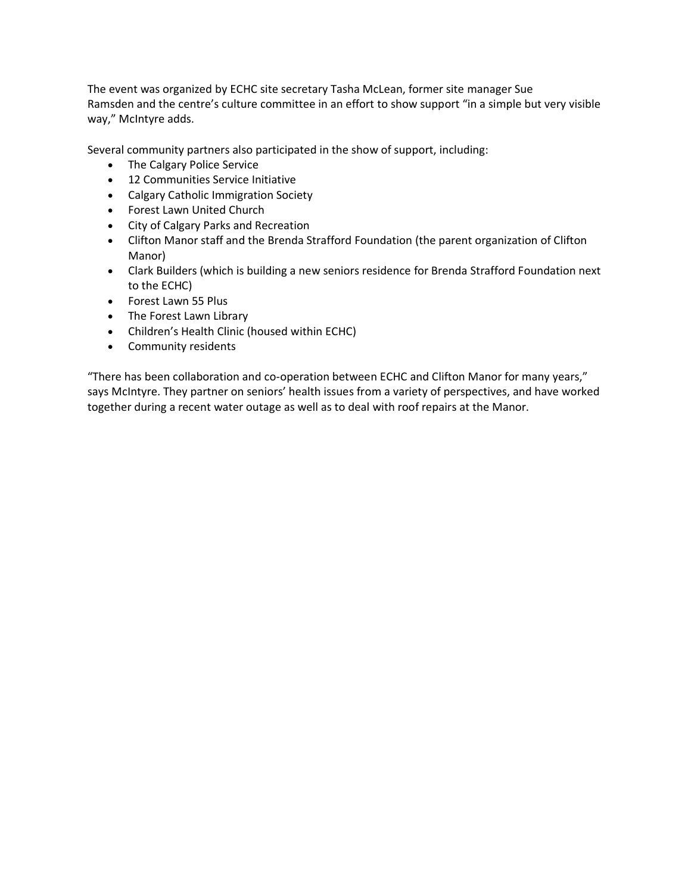The event was organized by ECHC site secretary Tasha McLean, former site manager Sue Ramsden and the centre's culture committee in an effort to show support "in a simple but very visible way," McIntyre adds.

Several community partners also participated in the show of support, including:

- The Calgary Police Service
- 12 Communities Service Initiative
- Calgary Catholic Immigration Society
- Forest Lawn United Church
- City of Calgary Parks and Recreation
- Clifton Manor staff and the Brenda Strafford Foundation (the parent organization of Clifton Manor)
- Clark Builders (which is building a new seniors residence for Brenda Strafford Foundation next to the ECHC)
- Forest Lawn 55 Plus
- The Forest Lawn Library
- Children's Health Clinic (housed within ECHC)
- Community residents

"There has been collaboration and co-operation between ECHC and Clifton Manor for many years," says McIntyre. They partner on seniors' health issues from a variety of perspectives, and have worked together during a recent water outage as well as to deal with roof repairs at the Manor.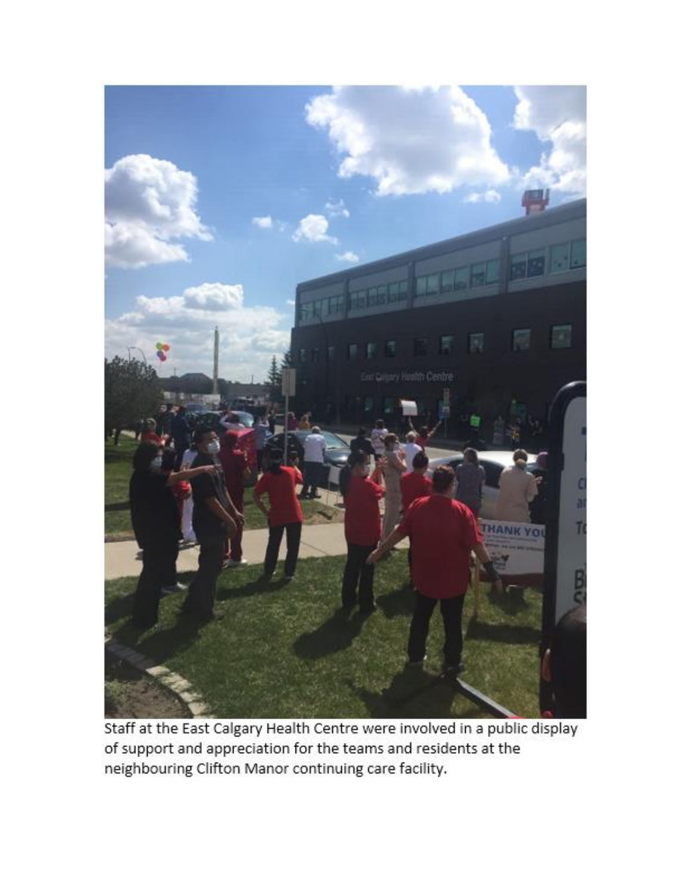

Staff at the East Calgary Health Centre were involved in a public display of support and appreciation for the teams and residents at the neighbouring Clifton Manor continuing care facility.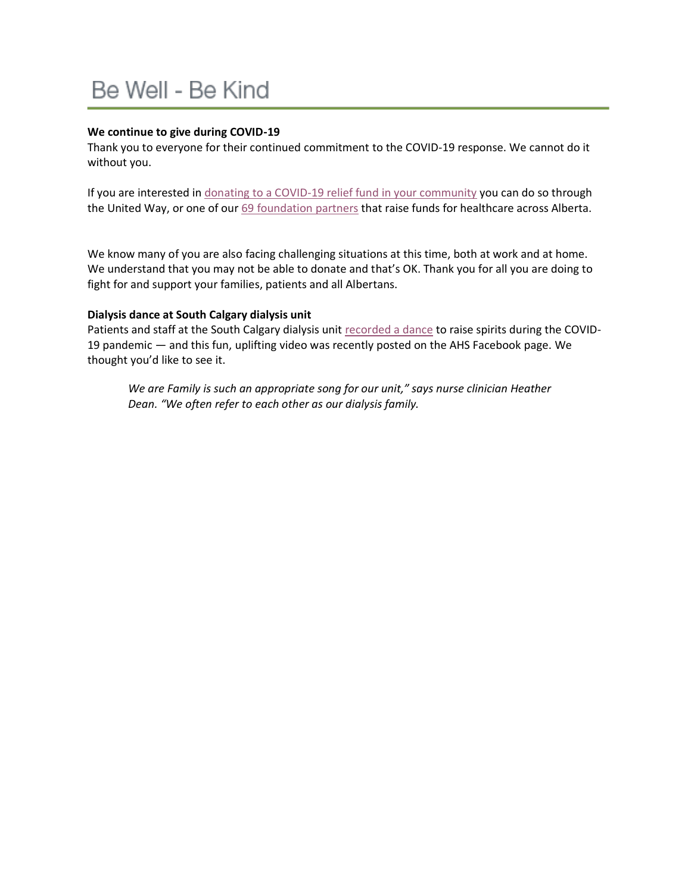# Be Well - Be Kind

#### **We continue to give during COVID-19**

Thank you to everyone for their continued commitment to the COVID-19 response. We cannot do it without you.

If you are interested in [donating to a COVID-19 relief fund in your community](https://insite.albertahealthservices.ca/tools/Page24605.aspx) you can do so through the United Way, or one of our [69 foundation partners](https://www.albertahealthservices.ca/give/give.aspx) that raise funds for healthcare across Alberta.

We know many of you are also facing challenging situations at this time, both at work and at home. We understand that you may not be able to donate and that's OK. Thank you for all you are doing to fight for and support your families, patients and all Albertans.

#### **Dialysis dance at South Calgary dialysis unit**

Patients and staff at the South Calgary dialysis unit [recorded a dance](https://www.facebook.com/albertahealthservices/videos/265421974502978/) to raise spirits during the COVID-19 pandemic — and this fun, uplifting video was recently posted on the AHS Facebook page. We thought you'd like to see it.

*We are Family is such an appropriate song for our unit," says nurse clinician Heather Dean. "We often refer to each other as our dialysis family.*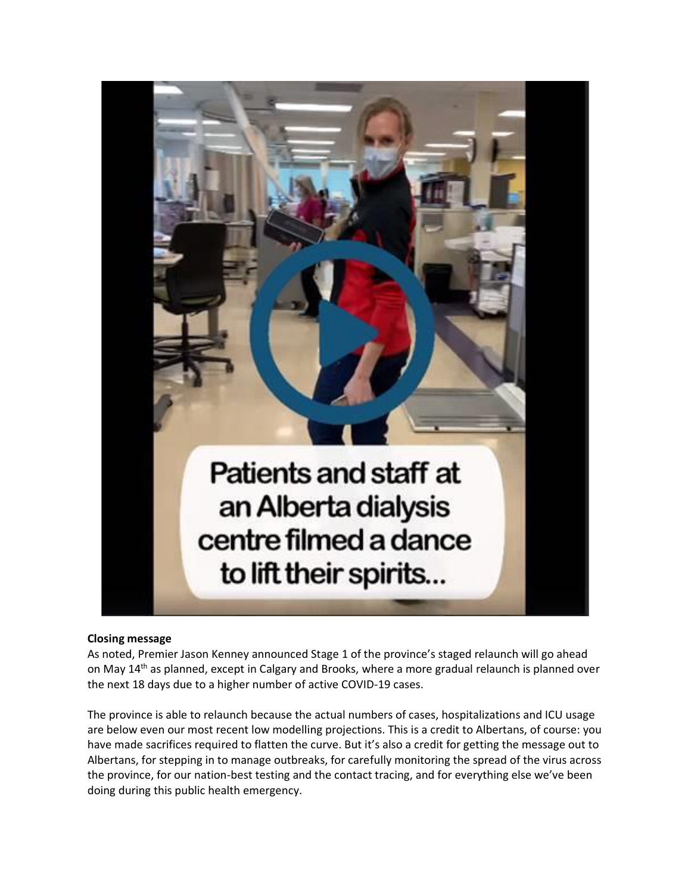

#### **Closing message**

As noted, Premier Jason Kenney announced Stage 1 of the province's staged relaunch will go ahead on May 14<sup>th</sup> as planned, except in Calgary and Brooks, where a more gradual relaunch is planned over the next 18 days due to a higher number of active COVID-19 cases.

The province is able to relaunch because the actual numbers of cases, hospitalizations and ICU usage are below even our most recent low modelling projections. This is a credit to Albertans, of course: you have made sacrifices required to flatten the curve. But it's also a credit for getting the message out to Albertans, for stepping in to manage outbreaks, for carefully monitoring the spread of the virus across the province, for our nation-best testing and the contact tracing, and for everything else we've been doing during this public health emergency.